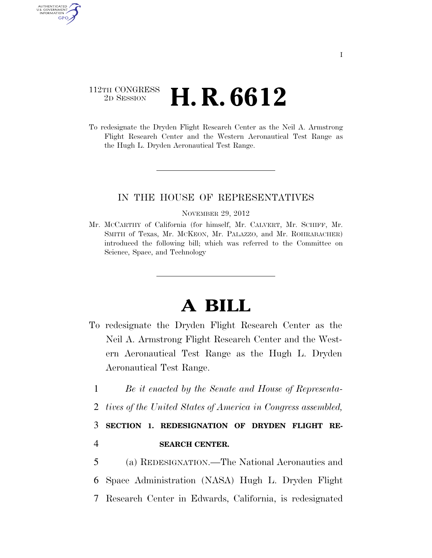### 112TH CONGRESS <sup>2D SESSION</sup> **H. R. 6612**

AUTHENTICATED U.S. GOVERNMENT GPO

> To redesignate the Dryden Flight Research Center as the Neil A. Armstrong Flight Research Center and the Western Aeronautical Test Range as the Hugh L. Dryden Aeronautical Test Range.

### IN THE HOUSE OF REPRESENTATIVES

#### NOVEMBER 29, 2012

Mr. MCCARTHY of California (for himself, Mr. CALVERT, Mr. SCHIFF, Mr. SMITH of Texas, Mr. MCKEON, Mr. PALAZZO, and Mr. ROHRABACHER) introduced the following bill; which was referred to the Committee on Science, Space, and Technology

# **A BILL**

- To redesignate the Dryden Flight Research Center as the Neil A. Armstrong Flight Research Center and the Western Aeronautical Test Range as the Hugh L. Dryden Aeronautical Test Range.
	- 1 *Be it enacted by the Senate and House of Representa-*
	- 2 *tives of the United States of America in Congress assembled,*

## 3 **SECTION 1. REDESIGNATION OF DRYDEN FLIGHT RE-**4 **SEARCH CENTER.**

5 (a) REDESIGNATION.—The National Aeronautics and 6 Space Administration (NASA) Hugh L. Dryden Flight 7 Research Center in Edwards, California, is redesignated